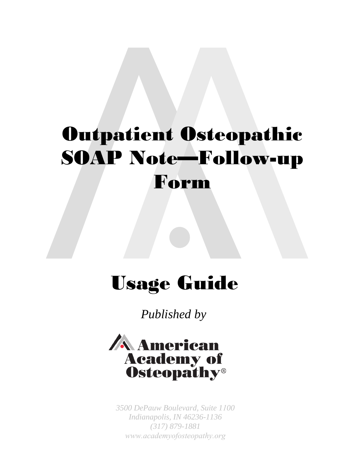# Outpatient Osteopathic SOAP Note—Follow-up Form

## Usage Guide

*Published by* 



*3500 DePauw Boulevard, Suite 1100 Indianapolis, IN 46236-1136 (317) 879-1881 www.academyofosteopathy.org*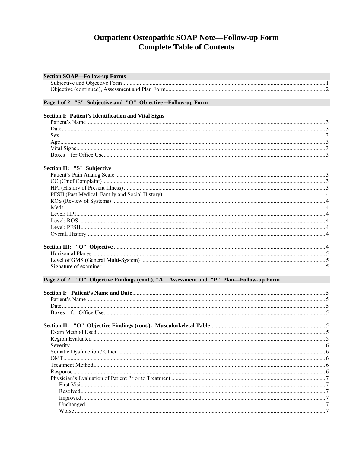## **Outpatient Osteopathic SOAP Note—Follow-up Form<br>Complete Table of Contents**

| <b>Section SOAP-Follow-up Forms</b>                                                    |  |
|----------------------------------------------------------------------------------------|--|
|                                                                                        |  |
|                                                                                        |  |
| Page 1 of 2 "S" Subjective and "O" Objective -- Follow-up Form                         |  |
| <b>Section I: Patient's Identification and Vital Signs</b>                             |  |
|                                                                                        |  |
|                                                                                        |  |
|                                                                                        |  |
|                                                                                        |  |
|                                                                                        |  |
|                                                                                        |  |
| Section II: "S" Subjective                                                             |  |
|                                                                                        |  |
|                                                                                        |  |
|                                                                                        |  |
|                                                                                        |  |
|                                                                                        |  |
|                                                                                        |  |
|                                                                                        |  |
|                                                                                        |  |
|                                                                                        |  |
|                                                                                        |  |
|                                                                                        |  |
|                                                                                        |  |
|                                                                                        |  |
|                                                                                        |  |
| Page 2 of 2 "O" Objective Findings (cont.), "A" Assessment and "P" Plan-Follow-up Form |  |
|                                                                                        |  |
|                                                                                        |  |
|                                                                                        |  |
|                                                                                        |  |
|                                                                                        |  |
|                                                                                        |  |
|                                                                                        |  |
|                                                                                        |  |
|                                                                                        |  |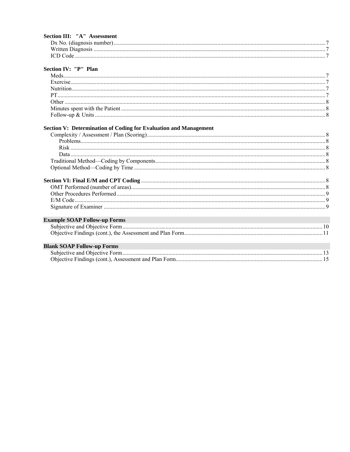| Section III: "A" Assessment                                             |  |
|-------------------------------------------------------------------------|--|
|                                                                         |  |
|                                                                         |  |
|                                                                         |  |
|                                                                         |  |
| Section IV: "P" Plan                                                    |  |
|                                                                         |  |
|                                                                         |  |
|                                                                         |  |
|                                                                         |  |
|                                                                         |  |
|                                                                         |  |
|                                                                         |  |
|                                                                         |  |
| <b>Section V: Determination of Coding for Evaluation and Management</b> |  |
|                                                                         |  |
|                                                                         |  |
|                                                                         |  |
|                                                                         |  |
|                                                                         |  |
|                                                                         |  |
|                                                                         |  |
|                                                                         |  |
|                                                                         |  |
|                                                                         |  |
|                                                                         |  |
|                                                                         |  |
| <b>Example SOAP Follow-up Forms</b>                                     |  |
|                                                                         |  |
|                                                                         |  |
|                                                                         |  |
| <b>Blank SOAP Follow-up Forms</b>                                       |  |
|                                                                         |  |
|                                                                         |  |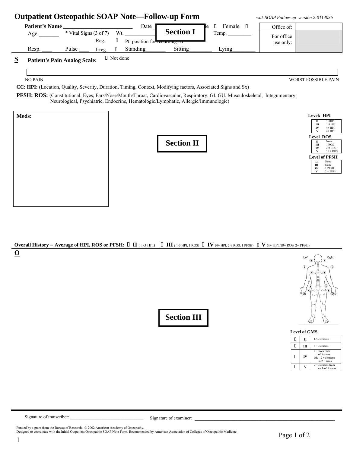

**Overall History** = Average of HPI, ROS or PFSH:  $\Box$  **II** (1-3 HPI)  $\Box$  **III** (1-3 HPI, 1 ROS)  $\Box$  **IV** (4+ HPI, 2-9 ROS, 1 PFSH)  $\Box$  **V** (4+ HPI, 10+ ROS, 2+ PFSH) **O** 



| Level of GMS |   |    |                                                                         |  |  |  |  |  |  |  |
|--------------|---|----|-------------------------------------------------------------------------|--|--|--|--|--|--|--|
|              |   | П  | 1-5 elements                                                            |  |  |  |  |  |  |  |
|              |   | ш  | $6 +$ elements                                                          |  |  |  |  |  |  |  |
|              | П | IV | $2 + from each$<br>of 6 areas<br>$OR$ 12 + elements<br>in $2 + \arccos$ |  |  |  |  |  |  |  |
|              |   |    | $2 +$ elements from<br>each of 9 areas                                  |  |  |  |  |  |  |  |

Signature of transcriber: \_\_\_\_\_\_\_\_\_\_\_\_\_\_\_\_\_\_\_\_\_\_\_\_\_\_\_\_\_\_\_\_ Signature of examiner: \_\_\_\_\_\_\_\_\_\_\_\_\_\_\_\_\_\_\_\_\_\_\_\_\_\_\_\_\_\_\_\_\_\_\_\_\_\_\_\_\_\_\_\_\_\_\_\_\_

**Section III** 

Funded by a grant from the Bureau of Research.  $\oslash$  2002 American Academy of Osteopathy. Designed to coordinate with the Initial Outpatient Osteopathic SOAP Note Form. Recommended by American Association of Colleges of Osteopathic Medicine.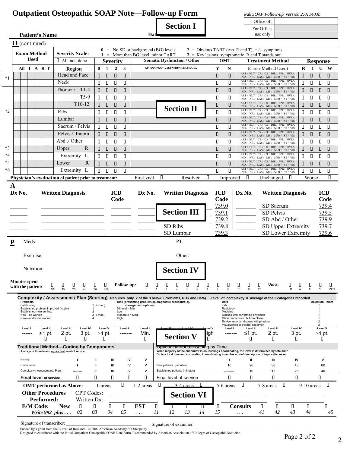### **Outpatient Osteopathic SOAP Note—Follow-up Form** *wak SOAP Follow-up version 2:011403b*

Office of: 0.000 and 0.000 and 0.000 office of: **Section I** 

For Office<br>use only:

|                          |        |                                           | <b>Patient's Name</b>          |                                                                                                                                                               |                                                                                                                                                                                                                                                                                                                                                                |                        | Dat                  |                                                       |                                                                                                                                      |           |                  |                                                                            | use only:                                                                       |                          |                                             |                       |            |
|--------------------------|--------|-------------------------------------------|--------------------------------|---------------------------------------------------------------------------------------------------------------------------------------------------------------|----------------------------------------------------------------------------------------------------------------------------------------------------------------------------------------------------------------------------------------------------------------------------------------------------------------------------------------------------------------|------------------------|----------------------|-------------------------------------------------------|--------------------------------------------------------------------------------------------------------------------------------------|-----------|------------------|----------------------------------------------------------------------------|---------------------------------------------------------------------------------|--------------------------|---------------------------------------------|-----------------------|------------|
|                          |        | $\mathbf{O}$ (continued)                  |                                |                                                                                                                                                               |                                                                                                                                                                                                                                                                                                                                                                |                        |                      |                                                       |                                                                                                                                      |           |                  |                                                                            |                                                                                 |                          |                                             |                       |            |
|                          |        |                                           |                                |                                                                                                                                                               |                                                                                                                                                                                                                                                                                                                                                                |                        |                      | $0 = No SD$ or background (BG) levels                 |                                                                                                                                      |           |                  |                                                                            | $2 =$ Obvious TART (esp. R and T), $+/-$ symptoms                               |                          |                                             |                       |            |
|                          |        | <b>Exam Method</b><br><b>Used</b>         |                                | <b>Severity Scale:</b>                                                                                                                                        |                                                                                                                                                                                                                                                                                                                                                                |                        |                      | $1 =$ More than BG level, minor TART                  |                                                                                                                                      |           |                  |                                                                            | $3 =$ Key lesions, symptomatic, R and T stands out                              |                          |                                             |                       |            |
|                          |        |                                           |                                | $\Box$ All not done                                                                                                                                           | <b>Severity</b>                                                                                                                                                                                                                                                                                                                                                |                        |                      | <b>Somatic Dysfunction / Other</b>                    |                                                                                                                                      |           | <b>OMT</b>       |                                                                            | <b>Treatment Method</b>                                                         |                          |                                             | <b>Response</b>       |            |
|                          |        |                                           | All T A R T                    | <b>Region</b>                                                                                                                                                 | $\bf{0}$<br>$\mathbf{1}$<br>$\overline{2}$                                                                                                                                                                                                                                                                                                                     | 3                      |                      | MS/SNS/PNS/LYM/CV/RESP/GI/FAS/ etc.                   |                                                                                                                                      |           | Y<br>N           |                                                                            | (Circle Method Used)<br>ART / BLT / CR / CS / DIR / FPR / HVLA                  |                          | R                                           | $\bf{I}$<br>U         | W          |
| $*1$                     |        |                                           |                                | Head and Face                                                                                                                                                 | $\Box$<br>$\Box$<br>0                                                                                                                                                                                                                                                                                                                                          | $\Box$                 |                      |                                                       |                                                                                                                                      |           | П<br>О           |                                                                            | IND / INR / LAS / ME / MFR / ST / VIS<br>ART / BLT / CR / CS / DIR / FPR / HVLA |                          | О                                           | О<br>О                | П          |
|                          |        |                                           |                                | Neck                                                                                                                                                          | 0<br>$\Box$<br>О                                                                                                                                                                                                                                                                                                                                               | $\Box$                 |                      |                                                       |                                                                                                                                      |           | П<br>П           |                                                                            | IND / INR / LAS / ME / MFR / ST / VIS<br>ART / BLT / CR / CS / DIR / FPR / HVLA |                          | О<br>О                                      | О                     | О          |
|                          |        |                                           |                                | Thoracic<br>$T1-4$                                                                                                                                            | $\Box$<br>$\Box$<br>О                                                                                                                                                                                                                                                                                                                                          | П                      |                      |                                                       |                                                                                                                                      |           | П<br>О           |                                                                            | IND / INR / LAS / ME / MFR / ST / VIS<br>ART / BLT / CR / CS / DIR / FPR / HVLA |                          | О                                           | О<br>О                | О          |
|                          |        |                                           |                                | $T5-9$                                                                                                                                                        | $\Box$<br>$\Box$<br>П                                                                                                                                                                                                                                                                                                                                          | П                      |                      |                                                       |                                                                                                                                      |           | П<br>П           |                                                                            | IND / INR / LAS / ME / MFR / ST / VIS<br>ART / BLT / CR / CS / DIR / FPR / HVLA |                          | $\Box$<br>О                                 | О                     | О          |
|                          |        |                                           |                                | $T10-12$                                                                                                                                                      | $\begin{array}{c} \square \end{array}$<br>$\Box$<br>0                                                                                                                                                                                                                                                                                                          | $\Box$                 |                      |                                                       | <b>Section II</b>                                                                                                                    |           | П<br>О           |                                                                            | IND / INR / LAS / ME / MFR / ST / VIS<br>ART / BLT / CR / CS / DIR / FPR / HVLA |                          | О                                           | О<br>О                | П          |
| $*2$                     |        |                                           |                                | Ribs                                                                                                                                                          | $\Box$<br>$\Box$<br>0                                                                                                                                                                                                                                                                                                                                          | П                      |                      |                                                       |                                                                                                                                      |           | П<br>П           |                                                                            | IND / INR / LAS / ME / MFR / ST / VIS<br>ART / BLT / CR / CS / DIR / FPR / HVLA |                          | $\begin{array}{c} \square \end{array}$<br>П | О                     | О          |
|                          |        |                                           |                                | Lumbar                                                                                                                                                        | $\Box$<br>$\Box$<br>0                                                                                                                                                                                                                                                                                                                                          | $\Box$                 |                      |                                                       |                                                                                                                                      |           | $\Box$<br>О      |                                                                            | IND / INR / LAS / ME / MFR / ST / VIS                                           |                          | О                                           | О<br>О                | П          |
|                          |        |                                           |                                | Sacrum / Pelvis                                                                                                                                               | $\Box$<br>П<br>П                                                                                                                                                                                                                                                                                                                                               | $\Box$                 |                      |                                                       |                                                                                                                                      |           | П<br>П           |                                                                            | ART / BLT / CR / CS / DIR / FPR / HVLA<br>IND / INR / LAS / ME / MFR / ST / VIS |                          | О<br>П                                      | О                     | О          |
|                          |        |                                           |                                | Pelvis / Innom.                                                                                                                                               | $\Box$<br>$\Box$<br>$\Box$                                                                                                                                                                                                                                                                                                                                     | $\Box$                 |                      |                                                       |                                                                                                                                      |           | О<br>П           |                                                                            | ART / BLT / CR / CS / DIR / FPR / HVLA<br>IND / INR / LAS / ME / MFR / ST / VIS |                          | О<br>$\Box$                                 | О                     | П          |
|                          |        |                                           |                                | Abd ./ Other                                                                                                                                                  | $\begin{matrix} \rule{0.3cm}{0.15cm} \rule{0.3cm}{0.15cm} \rule{0.3cm}{0.15cm} \rule{0.3cm}{0.15cm} \rule{0.3cm}{0.15cm} \rule{0.3cm}{0.15cm} \rule{0.3cm}{0.15cm} \rule{0.3cm}{0.15cm} \rule{0.3cm}{0.15cm} \rule{0.3cm}{0.15cm} \rule{0.3cm}{0.15cm} \rule{0.3cm}{0.15cm} \rule{0.3cm}{0.15cm} \rule{0.3cm}{0.15cm} \rule{0.3cm}{0.15cm} \rule{0.$<br>$\Box$ | П                      |                      |                                                       |                                                                                                                                      |           | П<br>П           |                                                                            | ART / BLT / CR / CS / DIR / FPR / HVLA<br>IND / INR / LAS / ME / MFR / ST / VIS |                          | $\Box$<br>П                                 | О                     | О          |
| $*3$                     |        |                                           |                                | $\mathbf R$<br>Upper                                                                                                                                          | $\Box$<br>$\Box$<br>$\Box$                                                                                                                                                                                                                                                                                                                                     | $\Box$                 |                      |                                                       |                                                                                                                                      |           | П<br>О           |                                                                            | ART / BLT / CR / CS / DIR / FPR / HVLA<br>IND / INR / LAS / ME / MFR / ST / VIS |                          | $\Box$<br>П                                 | О                     | П          |
| $*_{4}$                  |        |                                           |                                | Extremity L                                                                                                                                                   | $\Box$<br>$\Box$<br>0                                                                                                                                                                                                                                                                                                                                          | $\Box$                 |                      |                                                       |                                                                                                                                      |           | П<br>П           |                                                                            | ART / BLT / CR / CS / DIR / FPR / HVLA<br>IND / INR / LAS / ME / MFR / ST / VIS |                          | $\begin{array}{c} \square \end{array}$<br>О | П                     | П          |
| $*5$                     |        |                                           |                                | Lower<br>$\mathbb{R}$                                                                                                                                         | $\Box$<br>$\Box$<br>$\Box$                                                                                                                                                                                                                                                                                                                                     | $\Box$                 |                      |                                                       |                                                                                                                                      |           | $\Box$<br>О      |                                                                            | ART / BLT / CR / CS / DIR / FPR / HVLA<br>IND / INR / LAS / ME / MFR / ST / VIS |                          | П                                           | $\Box$<br>О           | П          |
| *6                       |        |                                           |                                | Extremity L                                                                                                                                                   | 0<br>$\Box$<br>О                                                                                                                                                                                                                                                                                                                                               | П                      |                      |                                                       |                                                                                                                                      |           | $\Box$<br>П      |                                                                            | ART / BLT / CR / CS / DIR / FPR / HVLA<br>IND / INR / LAS / ME / MFR / ST / VIS |                          | П                                           | П<br>П                | П          |
|                          |        |                                           |                                | Physician's evaluation of patient prior to treatment:                                                                                                         |                                                                                                                                                                                                                                                                                                                                                                |                        | First visit          | O                                                     | Resolved                                                                                                                             | $\Box$    | Improved         | П                                                                          | Unchanged                                                                       | Ш                        | Worse                                       |                       | О          |
| <u>A</u>                 |        |                                           |                                |                                                                                                                                                               |                                                                                                                                                                                                                                                                                                                                                                |                        |                      |                                                       |                                                                                                                                      |           |                  |                                                                            |                                                                                 |                          |                                             |                       |            |
|                          | Dx No. |                                           |                                | <b>Written Diagnosis</b>                                                                                                                                      | <b>ICD</b>                                                                                                                                                                                                                                                                                                                                                     |                        | Dx No.               |                                                       | <b>Written Diagnosis</b>                                                                                                             |           | <b>ICD</b>       | Dx No.                                                                     |                                                                                 | <b>Written Diagnosis</b> |                                             |                       | <b>ICD</b> |
|                          |        |                                           |                                |                                                                                                                                                               |                                                                                                                                                                                                                                                                                                                                                                | Code                   |                      |                                                       |                                                                                                                                      |           | Code             |                                                                            |                                                                                 |                          |                                             |                       | Code       |
|                          |        |                                           |                                |                                                                                                                                                               |                                                                                                                                                                                                                                                                                                                                                                |                        |                      |                                                       |                                                                                                                                      |           | 739.0            |                                                                            | SD Sacrum                                                                       |                          |                                             |                       | 739.4      |
|                          |        |                                           |                                |                                                                                                                                                               |                                                                                                                                                                                                                                                                                                                                                                |                        |                      |                                                       | <b>Section III</b>                                                                                                                   |           | 739.1            |                                                                            | SD Pelvis                                                                       |                          |                                             |                       | 739.5      |
|                          |        |                                           |                                |                                                                                                                                                               |                                                                                                                                                                                                                                                                                                                                                                |                        |                      |                                                       |                                                                                                                                      |           | 739.2            |                                                                            |                                                                                 | SD Abd / Other           |                                             |                       | 739.9      |
|                          |        |                                           |                                |                                                                                                                                                               |                                                                                                                                                                                                                                                                                                                                                                |                        |                      | SD Ribs                                               |                                                                                                                                      |           | 739.8            |                                                                            |                                                                                 | SD Upper Extremity       |                                             |                       | 739.7      |
|                          |        |                                           |                                |                                                                                                                                                               |                                                                                                                                                                                                                                                                                                                                                                |                        |                      | SD Lumbar                                             |                                                                                                                                      |           | 739.3            |                                                                            |                                                                                 | SD Lower Extremity       |                                             |                       | 739.6      |
| $\underline{\mathbf{P}}$ |        | Meds:                                     |                                |                                                                                                                                                               |                                                                                                                                                                                                                                                                                                                                                                |                        |                      |                                                       | PT:                                                                                                                                  |           |                  |                                                                            |                                                                                 |                          |                                             |                       |            |
|                          |        |                                           |                                |                                                                                                                                                               |                                                                                                                                                                                                                                                                                                                                                                |                        |                      |                                                       |                                                                                                                                      |           |                  |                                                                            |                                                                                 |                          |                                             |                       |            |
|                          |        | Exercise:                                 |                                |                                                                                                                                                               |                                                                                                                                                                                                                                                                                                                                                                |                        |                      |                                                       | Other:                                                                                                                               |           |                  |                                                                            |                                                                                 |                          |                                             |                       |            |
|                          |        |                                           |                                |                                                                                                                                                               |                                                                                                                                                                                                                                                                                                                                                                |                        |                      |                                                       |                                                                                                                                      |           |                  |                                                                            |                                                                                 |                          |                                             |                       |            |
|                          |        | Nutrition:                                |                                |                                                                                                                                                               |                                                                                                                                                                                                                                                                                                                                                                |                        |                      |                                                       | <b>Section IV</b>                                                                                                                    |           |                  |                                                                            |                                                                                 |                          |                                             |                       |            |
|                          |        |                                           |                                |                                                                                                                                                               |                                                                                                                                                                                                                                                                                                                                                                |                        |                      |                                                       |                                                                                                                                      |           |                  |                                                                            |                                                                                 |                          |                                             |                       |            |
|                          |        | <b>Minutes spent</b><br>with the patient: | 0                              | $\Box$<br>$\Box$                                                                                                                                              | $\Box$                                                                                                                                                                                                                                                                                                                                                         | <b>Follow-up:</b>      | 0                    | $\Box$<br>$\Box$                                      | $\begin{array}{cccccccccccccc} 0 & 0 & 0 & 0 & \end{array}$                                                                          |           | $\Box$           | $\begin{array}{cccccccccccccc} 0 & 0 & 0 & 0 \end{array}$                  | $\Box$<br>Units:                                                                | $\Box$                   | $\Box$                                      | $\Box$                | O,         |
|                          |        |                                           | 10                             | 15<br>25<br>40                                                                                                                                                | 60<br>>60                                                                                                                                                                                                                                                                                                                                                      |                        | 1                    | $\overline{c}$<br>3<br>$\overline{4}$                 | 5<br>6                                                                                                                               | $\tau$    | $\,$ 8 $\,$<br>9 | $10\,$<br>11                                                               | 12                                                                              | D                        | W<br>M                                      | Y                     | PRN        |
|                          |        | <b>Problems</b>                           |                                | Complexity / Assessment / Plan (Scoring) Requires only 2 of the 3 below (Problems, Risk and Data). Level of complexity = average of the 3 categories recorded |                                                                                                                                                                                                                                                                                                                                                                |                        |                      | Risk (presenting problem(s), diagnostic procedure(s), |                                                                                                                                      |           | Data             |                                                                            |                                                                                 |                          |                                             | <b>Maximum Points</b> |            |
|                          |        | Self-limiting                             |                                | Established problem improved / stable                                                                                                                         | 1 $(2 max.)$                                                                                                                                                                                                                                                                                                                                                   | Minimal = Min.         | management options)  |                                                       |                                                                                                                                      |           | Lab<br>Radiology |                                                                            |                                                                                 |                          |                                             |                       |            |
|                          |        | New-no workup                             | Established-worsening.         | 2                                                                                                                                                             | $3(1 \text{ max.})$                                                                                                                                                                                                                                                                                                                                            | Low<br>Moderate = Mod. |                      |                                                       |                                                                                                                                      |           | Medicine         | Discuss with performing physician                                          |                                                                                 |                          |                                             |                       |            |
|                          |        |                                           | New-additional workup          |                                                                                                                                                               |                                                                                                                                                                                                                                                                                                                                                                | High                   |                      |                                                       |                                                                                                                                      |           |                  | Obtain records or Hx from others<br>Review records, discuss with physician |                                                                                 |                          |                                             | 2<br>$\mathcal{P}$    |            |
|                          |        | Level I                                   | Level II                       | Level III<br><b>Level IV</b>                                                                                                                                  | Level V                                                                                                                                                                                                                                                                                                                                                        | Level I                | Level II             |                                                       | <b>Ulloya</b> L                                                                                                                      | evel V    | Level I          | Visualization of tracing, specimen<br>Level II                             | <b>Level III</b>                                                                | <b>Level IV</b>          |                                             | Level V               |            |
|                          |        | ------                                    | ≤1 pt.<br>П                    | 2 pt.<br>3 pt.<br>$\Box$<br>0                                                                                                                                 | ≥4 pt.<br>П                                                                                                                                                                                                                                                                                                                                                    | --------               | Min.<br>П            |                                                       | <b>Section V</b>                                                                                                                     | ligh<br>п | --------         | ≤1 pt.<br>п                                                                | 2 pt.<br>0                                                                      | 3 pt.<br>0               |                                             | ≥4 pt.<br>0           |            |
|                          |        |                                           |                                |                                                                                                                                                               |                                                                                                                                                                                                                                                                                                                                                                |                        |                      |                                                       |                                                                                                                                      |           |                  |                                                                            |                                                                                 |                          |                                             |                       |            |
|                          |        |                                           |                                | <b>Traditional Method—Coding by Components</b><br>Average of three levels equals final level of service.                                                      |                                                                                                                                                                                                                                                                                                                                                                |                        |                      |                                                       | Optional Method-Coding by Time<br>When majority of the encounter is counseling / coordinating, the level is determined by total time |           |                  |                                                                            |                                                                                 |                          |                                             |                       |            |
|                          |        | History                                   |                                |                                                                                                                                                               | Ш<br>Ш                                                                                                                                                                                                                                                                                                                                                         | IV                     | v                    |                                                       | Dictate total time and counseling / coordinating time plus a brief description of topics discussed                                   |           |                  | Ш                                                                          | Ш                                                                               | IV                       |                                             | ٧                     |            |
|                          |        | Examination                               |                                | п                                                                                                                                                             | $\mathbf{u}$<br>Ш                                                                                                                                                                                                                                                                                                                                              | IV                     | $\mathsf{v}$         | New patients (minutes)                                |                                                                                                                                      |           | 10               | 20                                                                         | 30                                                                              | 45                       |                                             | 60                    |            |
|                          |        |                                           | Complexity / Assessment / Plan |                                                                                                                                                               | Ш<br>Ш                                                                                                                                                                                                                                                                                                                                                         | IV                     | v                    | Established patients (minutes)                        |                                                                                                                                      |           | ---------        | 10                                                                         | 15                                                                              | 25                       |                                             | 40                    |            |
|                          |        |                                           | <b>Final level of service</b>  | П                                                                                                                                                             | П<br>П                                                                                                                                                                                                                                                                                                                                                         | $\Box$                 | П                    | Final level of service                                |                                                                                                                                      |           | П                | П                                                                          | П                                                                               | П                        |                                             | П                     |            |
|                          |        |                                           |                                | <b>OMT</b> performed as Above:                                                                                                                                | $0$ areas                                                                                                                                                                                                                                                                                                                                                      | П                      | 1-2 areas            | $\Box$                                                | $3-4$ areas<br>$\Box$                                                                                                                |           | 5-6 areas        | $\Box$                                                                     | 7-8 areas                                                                       | $\Box$                   | $9-10$ areas                                |                       | ▯          |
|                          |        |                                           | <b>Other Procedures</b>        | <b>CPT</b> Codes:                                                                                                                                             |                                                                                                                                                                                                                                                                                                                                                                |                        |                      |                                                       | <b>Section VI</b>                                                                                                                    |           |                  |                                                                            |                                                                                 |                          |                                             |                       |            |
|                          |        |                                           | Performed:                     | Written Dx:                                                                                                                                                   |                                                                                                                                                                                                                                                                                                                                                                |                        |                      |                                                       |                                                                                                                                      |           |                  |                                                                            |                                                                                 |                          |                                             |                       |            |
|                          |        | E/M Code:                                 |                                | <b>New</b><br>$\Box$                                                                                                                                          | П<br>П                                                                                                                                                                                                                                                                                                                                                         | $\Box$                 | <b>EST</b>           | $\Box$<br>П                                           | ◫<br>Ш                                                                                                                               |           | □                | <b>Consults</b>                                                            | $\Box$<br>$\Box$                                                                | П                        | $\Box$                                      |                       | П          |
|                          |        |                                           |                                | 02<br>Write 992 plus                                                                                                                                          | 03<br>04                                                                                                                                                                                                                                                                                                                                                       | $05\,$                 | $\sim$ $\sim$ $\sim$ | 12<br>11                                              | 13<br>14                                                                                                                             |           | 15               | $\ldots$ .                                                                 | 41<br>42                                                                        | 43                       | 44                                          |                       | 45         |

Signature of transcriber: \_\_\_\_\_\_\_\_\_\_\_\_\_\_\_\_\_\_\_\_\_\_\_\_\_\_\_\_\_\_\_\_\_ Signature of examiner: \_\_\_\_\_\_\_\_\_\_\_\_\_\_\_\_\_\_\_\_\_\_\_\_\_\_\_\_\_\_\_\_\_\_\_\_\_\_\_ Funded by a grant from the Bureau of Research. © 2002 American Academy of Osteopathy. Designed to coordinate with the Initial Outpatient Osteopathic SOAP Note Form. Recommended by American Association of Colleges of Osteopathic Medicine.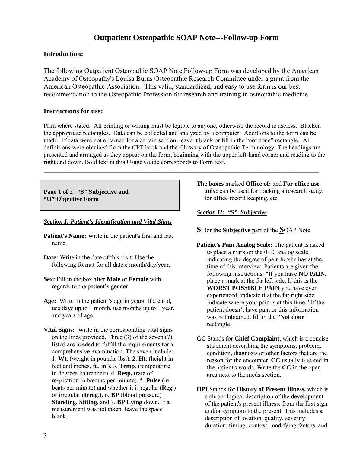### **Outpatient Osteopathic SOAP Note---Follow-up Form**

#### **Introduction:**

The following Outpatient Osteopathic SOAP Note Follow-up Form was developed by the American Academy of Osteopathy's Louisa Burns Osteopathic Research Committee under a grant from the American Osteopathic Association. This valid, standardized, and easy to use form is our best recommendation to the Osteopathic Profession for research and training in osteopathic medicine.

#### **Instructions for use:**

Print where stated. All printing or writing must be legible to anyone, otherwise the record is useless. Blacken the appropriate rectangles. Data can be collected and analyzed by a computer. Additions to the form can be made. If data were not obtained for a certain section, leave it blank or fill in the "not done" rectangle. All definitions were obtained from the CPT book and the Glossary of Osteopathic Terminology. The headings are presented and arranged as they appear on the form, beginning with the upper left-hand corner and reading to the right and down. Bold text in this Usage Guide corresponds to Form text.

 $\mathcal{L}_\mathcal{L} = \{ \mathcal{L}_\mathcal{L} = \{ \mathcal{L}_\mathcal{L} = \{ \mathcal{L}_\mathcal{L} = \{ \mathcal{L}_\mathcal{L} = \{ \mathcal{L}_\mathcal{L} = \{ \mathcal{L}_\mathcal{L} = \{ \mathcal{L}_\mathcal{L} = \{ \mathcal{L}_\mathcal{L} = \{ \mathcal{L}_\mathcal{L} = \{ \mathcal{L}_\mathcal{L} = \{ \mathcal{L}_\mathcal{L} = \{ \mathcal{L}_\mathcal{L} = \{ \mathcal{L}_\mathcal{L} = \{ \mathcal{L}_\mathcal{$ 

**Page 1 of 2 "S" Subjective and "O" Objective Form** 

#### *Section I: Patient's Identification and Vital Signs*

- **Patient's Name:** Write in the patient's first and last name.
- **Date:** Write in the date of this visit. Use the following format for all dates: month/day/year.
- **Sex:** Fill in the box after **Male** or **Female** with regards to the patient's gender.
- **Age:** Write in the patient's age in years. If a child, use days up to 1 month, use months up to 1 year, and years of age.
- **Vital Signs:** Write in the corresponding vital signs on the lines provided. Three (3) of the seven (7) listed are needed to fulfill the requirements for a comprehensive examination. The seven include: 1. **Wt.** (weight in pounds, lbs.), 2. **Ht.** (height in feet and inches, ft., in.), 3. **Temp.** (temperature in degrees Fahrenheit), 4. **Resp.** (rate of respiration in breaths-per-minute), 5. **Pulse** (in beats per minute) and whether it is regular (**Reg.**) or irregular (**Irreg.),** 6. **BP** (blood pressure) **Standing**, **Sitting**, and 7. **BP Lying** down. If a measurement was not taken, leave the space blank.

**The boxes** marked **Office of:** and **For office use only:** can be used for tracking a research study, for office record keeping, etc.

#### *Section II: "S" Subjective*

- **S**: for the **Subjective** part of the **S**OAP Note.
- **Patient's Pain Analog Scale:** The patient is asked to place a mark on the 0-10 analog scale indicating the degree of pain he/she has at the time of this interview. Patients are given the following instructions: "If you have **NO PAIN**, place a mark at the far left side. If this is the **WORST POSSIBLE PAIN** you have ever experienced, indicate it at the far right side. Indicate where your pain is at this time." If the patient doesn't have pain or this information was not obtained, fill in the "**Not done**" rectangle.
- **CC** Stands for **Chief Complaint**, which is a concise statement describing the symptoms, problem, condition, diagnosis or other factors that are the reason for the encounter. **CC** usually is stated in the patient's words. Write the **CC** in the open area next to the meds section.
- **HPI** Stands for **History of Present Illness,** which is a chronological description of the development of the patient's present illness, from the first sign and/or symptom to the present. This includes a description of location, quality, severity, duration, timing, context, modifying factors, and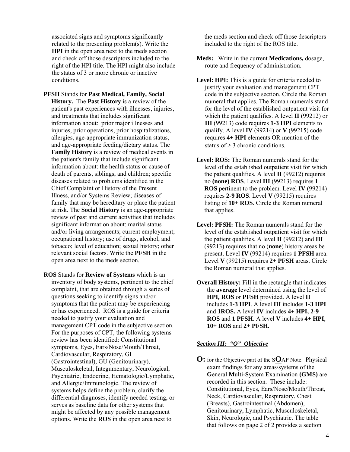associated signs and symptoms significantly related to the presenting problem(s). Write the **HPI** in the open area next to the meds section and check off those descriptors included to the right of the HPI title. The HPI might also include the status of 3 or more chronic or inactive conditions.

- **PFSH** Stands for **Past Medical, Family, Social History.** The **Past History** is a review of the patient's past experiences with illnesses, injuries, and treatments that includes significant information about: prior major illnesses and injuries, prior operations, prior hospitalizations, allergies, age-appropriate immunization status, and age-appropriate feeding/dietary status. The **Family History** is a review of medical events in the patient's family that include significant information about: the health status or cause of death of parents, siblings, and children; specific diseases related to problems identified in the Chief Complaint or History of the Present Illness, and/or Systems Review; diseases of family that may be hereditary or place the patient at risk. The **Social History** is an age-appropriate review of past and current activities that includes significant information about: marital status and/or living arrangements; current employment; occupational history; use of drugs, alcohol, and tobacco; level of education; sexual history; other relevant social factors. Write the **PFSH** in the open area next to the meds section.
- **ROS** Stands for **Review of Systems** which is an inventory of body systems, pertinent to the chief complaint, that are obtained through a series of questions seeking to identify signs and/or symptoms that the patient may be experiencing or has experienced. ROS is a guide for criteria needed to justify your evaluation and management CPT code in the subjective section. For the purposes of CPT, the following systems review has been identified: Constitutional symptoms, Eyes, Ears/Nose/Mouth/Throat, Cardiovascular, Respiratory, GI (Gastrointestinal), GU (Genitourinary), Musculoskeletal, Integumentary, Neurological, Psychiatric, Endocrine, Hematologic/Lymphatic, and Allergic/Immunologic. The review of systems helps define the problem, clarify the differential diagnoses, identify needed testing, or serves as baseline data for other systems that might be affected by any possible management options. Write the **ROS** in the open area next to

the meds section and check off those descriptors included to the right of the ROS title.

- **Meds:** Write in the current **Medications,** dosage, route and frequency of administration.
- Level: **HPI:** This is a guide for criteria needed to justify your evaluation and management CPT code in the subjective section. Circle the Roman numeral that applies. The Roman numerals stand for the level of the established outpatient visit for which the patient qualifies. A level **II** (99212) or **III** (99213) code requires **1-3 HPI** elements to qualify. A level **IV** (99214) or **V** (99215) code requires **4+ HPI** elements OR mention of the status of  $\geq$  3 chronic conditions.
- Level: ROS: The Roman numerals stand for the level of the established outpatient visit for which the patient qualifies. A level **II** (99212) requires no **(none) ROS**. Level **III** (99213) requires **1 ROS** pertinent to the problem. Level **IV** (99214) requires **2-9 ROS**. Level **V** (99215) requires listing of **10+ ROS**. Circle the Roman numeral that applies.
- **Level: PFSH:** The Roman numerals stand for the level of the established outpatient visit for which the patient qualifies. A level **II** (99212) and **III** (99213) requires that no (**none**) history areas be present. Level **IV** (99214) requires **1 PFSH** area. Level **V** (99215) requires **2+ PFSH** areas. Circle the Roman numeral that applies.
- **Overall History:** Fill in the rectangle that indicates the **average** level determined using the level of **HPI, ROS** or **PFSH** provided. A level **II** includes **1-3 HPI**. A level **III** includes **1-3 HPI**  and **1ROS.** A level **IV** includes **4+ HPI, 2-9 ROS** and **1 PFSH**. A level **V** includes **4+ HPI, 10+ ROS** and **2+ PFSH.**

#### *Section III: "O" Objective*

**O:** for the Objective part of the S**O**AP Note.Physical exam findings for any areas/systems of the **G**eneral **M**ulti-**S**ystem **E**xamination **(GMS)** are recorded in this section. These include: Constitutional, Eyes, Ears/Nose/Mouth/Throat, Neck, Cardiovascular, Respiratory, Chest (Breasts), Gastrointestinal (Abdomen), Genitourinary, Lymphatic, Musculoskeletal, Skin, Neurologic, and Psychiatric. The table that follows on page 2 of 2 provides a section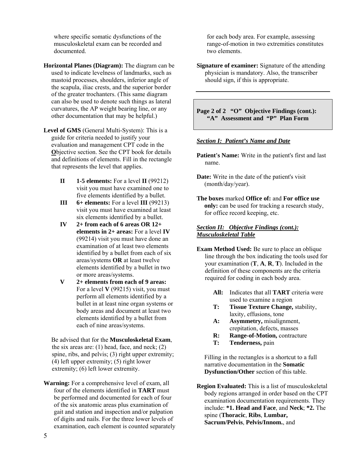where specific somatic dysfunctions of the musculoskeletal exam can be recorded and documented.

**Horizontal Planes (Diagram):** The diagram can be used to indicate levelness of landmarks, such as mastoid processes, shoulders, inferior angle of the scapula, iliac crests, and the superior border of the greater trochanters. (This same diagram can also be used to denote such things as lateral curvatures, the AP weight bearing line, or any other documentation that may be helpful.)

**Level of GMS** (General Multi-System): This is a guide for criteria needed to justify your evaluation and management CPT code in the **O**bjective section. See the CPT book for details and definitions of elements. Fill in the rectangle that represents the level that applies.

- $II$  **1-5 elements:** For a level  $II$  (99212) visit you must have examined one to five elements identified by a bullet.
- **III** 6+ elements: For a level **III** (99213) visit you must have examined at least six elements identified by a bullet.
- **IV 2+ from each of 6 areas OR 12+ elements in 2+ areas:** For a level **IV** (99214) visit you must have done an examination of at least two elements identified by a bullet from each of six areas/systems **OR** at least twelve elements identified by a bullet in two or more areas/systems.
- **V 2+ elements from each of 9 areas:**  For a level **V** (99215) visit, you must perform all elements identified by a bullet in at least nine organ systems or body areas and document at least two elements identified by a bullet from each of nine areas/systems.

Be advised that for the **Musculoskeletal Exam**, the six areas are:  $(1)$  head, face, and neck;  $(2)$ spine, ribs, and pelvis; (3) right upper extremity; (4) left upper extremity; (5) right lower extremity; (6) left lower extremity.

**Warning:** For a comprehensive level of exam, all four of the elements identified in **TART** must be performed and documented for each of four of the six anatomic areas plus examination of gait and station and inspection and/or palpation of digits and nails. For the three lower levels of examination, each element is counted separately

for each body area. For example, assessing range-of-motion in two extremities constitutes two elements.

**Signature of examiner:** Signature of the attending physician is mandatory. Also, the transcriber should sign, if this is appropriate.

**Page 2 of 2 "O" Objective Findings (cont.): "A" Assessment and "P" Plan Form** 

#### *Section I: Patient's Name and Date*

- **Patient's Name:** Write in the patient's first and last name.
- **Date:** Write in the date of the patient's visit (month/day/year).
- **The boxes** marked **Office of:** and **For office use only:** can be used for tracking a research study, for office record keeping, etc.

#### *Section II: Objective Findings (cont.): Musculoskeletal Table*

- **Exam Method Used:** Be sure to place an oblique line through the box indicating the tools used for your examination (**T**, **A**, **R**, **T**). Included in the definition of these components are the criteria required for coding in each body area.
	- **All:** Indicates that all **TART** criteria were used to examine a region
	- **T: Tissue Texture Change,** stability, laxity, effusions, tone
	- **A: Asymmetry,** misalignment, crepitation, defects, masses
	- **R:** Range-of-Motion, contracture
	- **T: Tenderness,** pain

Filling in the rectangles is a shortcut to a full narrative documentation in the **Somatic Dysfunction/Other** section of this table.

**Region Evaluated:** This is a list of musculoskeletal body regions arranged in order based on the CPT examination documentation requirements. They include: **\*1. Head and Face**, and **Neck**; **\*2.** The spine (**Thoracic**, **Ribs**, **Lumbar, Sacrum/Pelvis**, **Pelvis/Innom.**, and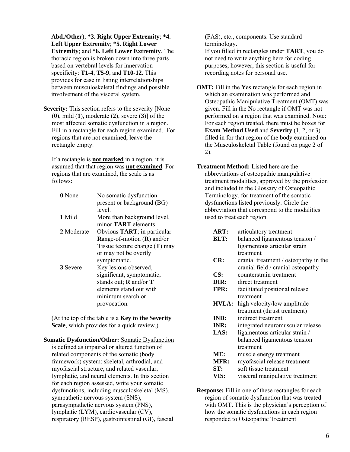**Abd./Other**); **\*3. Right Upper Extremity**; **\*4. Left Upper Extremity**; **\*5. Right Lower Extremity**; and **\*6. Left Lower Extremity**. The thoracic region is broken down into three parts based on vertebral levels for innervation specificity: **T1-4**, **T5-9**, and **T10-12**. This provides for ease in listing interrelationships between musculoskeletal findings and possible involvement of the visceral system.

**Severity:** This section refers to the severity [None] (**0**), mild (**1**), moderate (**2**), severe (**3**)] of the most affected somatic dysfunction in a region. Fill in a rectangle for each region examined. For regions that are not examined, leave the rectangle empty.

If a rectangle is **not marked** in a region, it is assumed that that region was **not examined**. For regions that are examined, the scale is as follows:

**0** None No somatic dysfunction present or background (BG) level. **1** Mild More than background level, minor **TART** elements. **2** Moderate Obvious **TART**; in particular **R**ange-of-motion (**R**) and/or **T**issue texture change (**T**) may or may not be overtly symptomatic. **3** Severe Key lesions observed, significant, symptomatic, stands out; **R** and/or **T** elements stand out with minimum search or provocation.

(At the top of the table is a **Key to the Severity Scale**, which provides for a quick review.)

**Somatic Dysfunction/Other:** Somatic Dysfunction is defined as impaired or altered function of related components of the somatic (body framework) system: skeletal, arthrodial, and myofascial structure, and related vascular, lymphatic, and neural elements. In this section for each region assessed, write your somatic dysfunctions, including musculoskeletal (MS), sympathetic nervous system (SNS), parasympathetic nervous system (PNS), lymphatic (LYM), cardiovascular (CV), respiratory (RESP), gastrointestinal (GI), fascial

(FAS), etc., components. Use standard terminology.

If you filled in rectangles under **TART**, you do not need to write anything here for coding purposes; however, this section is useful for recording notes for personal use.

- **OMT:** Fill in the **Y**es rectangle for each region in which an examination was performed and Osteopathic Manipulative Treatment (OMT) was given. Fill in the **N**o rectangle if OMT was not performed on a region that was examined. Note: For each region treated, there must be boxes for **Exam Method Used** and **Severity** (1, 2, or 3) filled in for that region of the body examined on the Musculoskeletal Table (found on page 2 of 2).
- **Treatment Method:** Listed here are the abbreviations of osteopathic manipulative treatment modalities, approved by the profession and included in the Glossary of Osteopathic Terminology, for treatment of the somatic dysfunctions listed previously. Circle the abbreviation that correspond to the modalities used to treat each region.
	- **ART:** articulatory treatment
	- **BLT:** balanced ligamentous tension / ligamentous articular strain treatment
	- **CR:** cranial treatment / osteopathy in the cranial field / cranial osteopathy
	- **CS:** counterstrain treatment
	- **DIR:** direct treatment
	- **FPR:** facilitated positional release treatment
	- **HVLA:** high velocity/low amplitude treatment (thrust treatment)
	- **IND:** indirect treatment
	- **INR:** integrated neuromuscular release
	- **LAS:** ligamentous articular strain / balanced ligamentous tension treatment
	- **ME:** muscle energy treatment
	- **MFR:** myofascial release treatment
	- **ST:** soft tissue treatment
	- **VIS:** visceral manipulative treatment

**Response:** Fill in one of these rectangles for each region of somatic dysfunction that was treated with OMT. This is the physician's perception of how the somatic dysfunctions in each region responded to Osteopathic Treatment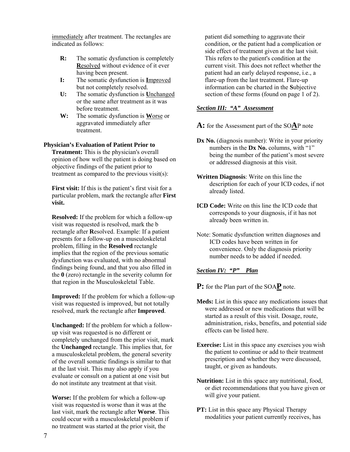immediately after treatment. The rectangles are indicated as follows:

- **R:** The somatic dysfunction is completely **R**esolved without evidence of it ever having been present.
- **I:** The somatic dysfunction is **I**mproved but not completely resolved.
- **U:** The somatic dysfunction is **U**nchanged or the same after treatment as it was before treatment.
- **W:** The somatic dysfunction is **W**orse or aggravated immediately after treatment.

#### **Physician's Evaluation of Patient Prior to**

**Treatment:** This is the physician's overall opinion of how well the patient is doing based on objective findings of the patient prior to treatment as compared to the previous visit(s):

**First visit:** If this is the patient's first visit for a particular problem, mark the rectangle after **First visit.** 

**Resolved:** If the problem for which a follow-up visit was requested is resolved, mark the b rectangle after **R**esolved. Example: If a patient presents for a follow-up on a musculoskeletal problem, filling in the **Resolved** rectangle implies that the region of the previous somatic dysfunction was evaluated, with no abnormal findings being found, and that you also filled in the **0** (zero) rectangle in the severity column for that region in the Musculoskeletal Table.

**Improved:** If the problem for which a follow-up visit was requested is improved, but not totally resolved, mark the rectangle after **Improved**.

**Unchanged:** If the problem for which a followup visit was requested is no different or completely unchanged from the prior visit, mark the **Unchanged** rectangle. This implies that, for a musculoskeletal problem, the general severity of the overall somatic findings is similar to that at the last visit. This may also apply if you evaluate or consult on a patient at one visit but do not institute any treatment at that visit.

**Worse:** If the problem for which a follow-up visit was requested is worse than it was at the last visit, mark the rectangle after **Worse**. This could occur with a musculoskeletal problem if no treatment was started at the prior visit, the

patient did something to aggravate their condition, or the patient had a complication or side effect of treatment given at the last visit. This refers to the patient's condition at the current visit. This does not reflect whether the patient had an early delayed response, i.e., a flare-up from the last treatment. Flare-up information can be charted in the **S**ubjective section of these forms (found on page 1 of 2).

#### *Section III: "A" Assessment*

**A:** for the Assessment part of the SO**A**P note

- Dx No. (diagnosis number): Write in your priority numbers in the **Dx No.** columns, with "1" being the number of the patient's most severe or addressed diagnosis at this visit.
- **Written Diagnosis**: Write on this line the description for each of your ICD codes, if not already listed.
- **ICD Code:** Write on this line the ICD code that corresponds to your diagnosis, if it has not already been written in.
- Note: Somatic dysfunction written diagnoses and ICD codes have been written in for convenience. Only the diagnosis priority number needs to be added if needed.

#### *Section IV: "P" Plan*

**P:** for the Plan part of the SOA**P** note.

- **Meds:** List in this space any medications issues that were addressed or new medications that will be started as a result of this visit. Dosage, route, administration, risks, benefits, and potential side effects can be listed here.
- **Exercise:** List in this space any exercises you wish the patient to continue or add to their treatment prescription and whether they were discussed, taught, or given as handouts.
- **Nutrition:** List in this space any nutritional, food, or diet recommendations that you have given or will give your patient.
- **PT:** List in this space any Physical Therapy modalities your patient currently receives, has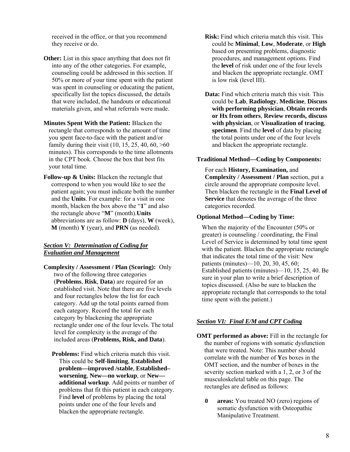received in the office, or that you recommend they receive or do.

- **Other:** List in this space anything that does not fit into any of the other categories. For example, counseling could be addressed in this section. If 50% or more of your time spent with the patient was spent in counseling or educating the patient, specifically list the topics discussed, the details that were included, the handouts or educational materials given, and what referrals were made.
- **Minutes Spent With the Patient:** Blacken the rectangle that corresponds to the amount of time you spent face-to-face with the patient and/or family during their visit  $(10, 15, 25, 40, 60, >0)$ minutes). This corresponds to the time allotments in the CPT book. Choose the box that best fits your total time.
- **Follow-up & Units:** Blacken the rectangle that correspond to when you would like to see the patient again; you must indicate both the number and the **Units**. For example: for a visit in one month, blacken the box above the "**1**" and also the rectangle above "**M**" (month).**Units** abbreviations are as follow: **D** (days), **W** (week), **M** (month) **Y** (year), and **PRN** (as needed).

#### *Section V: Determination of Coding for Evaluation and Management*

- **Complexity / Assessment / Plan (Scoring):** Only two of the following three categories (**Problems**, **Risk**, **Data**) are required for an established visit. Note that there are five levels and four rectangles below the list for each category. Add up the total points earned from each category. Record the total for each category by blackening the appropriate rectangle under one of the four levels. The total level for complexity is the average of the included areas (**Problems, Risk, and Data**).
	- **Problems:** Find which criteria match this visit. This could be **Self**-**limiting**, **Established problem—improved /stable**, **Established– worsening**, **New—no workup**, or **New additional workup**. Add points or number of problems that fit this patient in each category. Find **level** of problems by placing the total points under one of the four levels and blacken the appropriate rectangle.
- **Risk:** Find which criteria match this visit. This could be **Minimal**, **Low**, **Moderate**, or **High** based on presenting problems, diagnostic procedures, and management options. Find the **level** of risk under one of the four levels and blacken the appropriate rectangle. OMT is low risk (level III).
- **Data:** Find which criteria match this visit. This could be **Lab**, **Radiology**, **Medicine**, **Discuss with performing physician**, **Obtain records or Hx from others**, **Review records, discuss with physician**, or **Visualization of tracing**, **specimen**. Find the **level** of data by placing the total points under one of the four levels and blacken the appropriate rectangle.

#### **Traditional Method—Coding by Components:**

For each **History, Examination,** and **Complexity / Assessment / Plan** section, put a circle around the appropriate composite level. Then blacken the rectangle in the **Final Level of Service** that denotes the average of the three categories recorded.

#### **Optional Method—Coding by Time:**

When the majority of the Encounter (50% or greater) is counseling / coordinating, the Final Level of Service is determined by total time spent with the patient. Blacken the appropriate rectangle that indicates the total time of the visit: New patients (minutes)—10, 20, 30, 45, 60; Established patients (minutes)—10, 15, 25, 40. Be sure in your plan to write a brief description of topics discussed. (Also be sure to blacken the appropriate rectangle that corresponds to the total time spent with the patient.)

#### *Section VI: Final E/M and CPT Coding*

- **OMT** performed as above: Fill in the rectangle for the number of regions with somatic dysfunction that were treated. Note: This number should correlate with the number of **Y**es boxes in the OMT section, and the number of boxes in the severity section marked with a 1, 2, or 3 of the musculoskeletal table on this page. The rectangles are defined as follows:
	- **0 areas:** You treated NO (zero) regions of somatic dysfunction with Osteopathic Manipulative Treatment.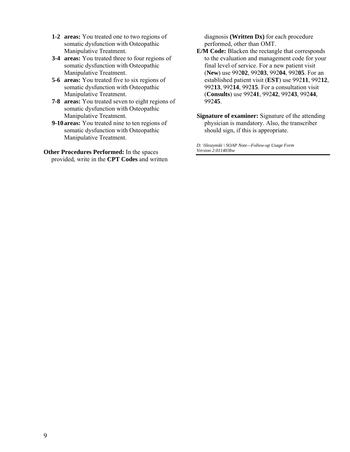- **1-2 areas:** You treated one to two regions of somatic dysfunction with Osteopathic Manipulative Treatment.
- **3-4 areas:** You treated three to four regions of somatic dysfunction with Osteopathic Manipulative Treatment.
- **5-6 areas:** You treated five to six regions of somatic dysfunction with Osteopathic Manipulative Treatment.
- **7-8 areas:** You treated seven to eight regions of somatic dysfunction with Osteopathic Manipulative Treatment.
- **9-10 areas:** You treated nine to ten regions of somatic dysfunction with Osteopathic Manipulative Treatment.

**Other Procedures Performed:** In the spaces provided, write in the **CPT Codes** and written diagnosis **(Written Dx)** for each procedure performed, other than OMT.

- **E/M Code:** Blacken the rectangle that corresponds to the evaluation and management code for your final level of service. For a new patient visit (**New**) use 992**02**, 992**03**, 992**04**, 992**05**. For an established patient visit (**EST**) use 992**11**, 992**12**, 992**13**, 992**14**, 992**15**. For a consultation visit (**Consults**) use 992**41**, 992**42**, 992**43**, 992**44**, 992**45**.
- **Signature of examiner:** Signature of the attending physician is mandatory. Also, the transcriber should sign, if this is appropriate.

*D: \Sleszynski \ SOAP Note—Follow-up Usage Form Version 2:011403bw*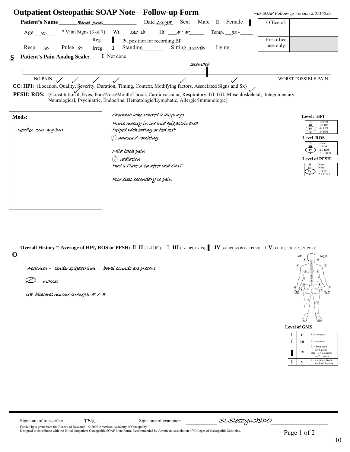|                                          |                                                       | <b>Outpatient Osteopathic SOAP Note—Follow-up Form</b>                                                                                                                                                                                                                                                                                |             | wak SOAP Follow-up version 2:011403b |                                                            |
|------------------------------------------|-------------------------------------------------------|---------------------------------------------------------------------------------------------------------------------------------------------------------------------------------------------------------------------------------------------------------------------------------------------------------------------------------------|-------------|--------------------------------------|------------------------------------------------------------|
| Patient's Name Renee lones               |                                                       | Date $\frac{1}{4\sqrt{98}}$ Sex: Male $\Box$ Female                                                                                                                                                                                                                                                                                   | H           | Office of:                           |                                                            |
| Age $25$                                 | * Vital Signs $(3 \text{ of } 7)$ Wt. 130 lb.<br>Reg. | Ht. $5'5'$<br>Pt. position for recording BP                                                                                                                                                                                                                                                                                           | Temp. $986$ | For office                           |                                                            |
| Resp. 20                                 | $\Box$<br>Pulse <u>80</u> Irreg.                      | Standing Sitting 120/80                                                                                                                                                                                                                                                                                                               | Lying       | use only:                            |                                                            |
| <b>Patient's Pain Analog Scale:</b><br>S | □ Not done                                            |                                                                                                                                                                                                                                                                                                                                       |             |                                      |                                                            |
|                                          |                                                       | Stomach                                                                                                                                                                                                                                                                                                                               |             |                                      |                                                            |
|                                          | NO PAIN $\swarrow$ $\swarrow$ $\swarrow$              | CC: HPI: (Location, Quality, Severity, Duration, Timing, Context, Modifying factors, Associated Signs and Sx)<br>PFSH: ROS: (Constitutional, Eyes, Ears/Nose/Mouth/Throat, Cardiovascular, Respiratory, GI, GU, Musculoskeletal, Integumentary,<br>Neurological, Psychiatric, Endocrine, Hematologic/Lymphatic, Allergic/Immunologic) |             | <b>WORST POSSIBLE PAIN</b>           |                                                            |
| Meds:                                    |                                                       | Stomach ache started 2 days ago                                                                                                                                                                                                                                                                                                       |             |                                      | Level: HPI                                                 |
| Norflex 100 mg BID                       |                                                       | Hurts mostly in the mid epigastric area<br>Helped with eating or bed rest                                                                                                                                                                                                                                                             |             |                                      | п<br>$1-3$ HPI<br>1-3 HPI<br>Ш<br>$4+HPI$<br>IV<br>$4+HPI$ |
|                                          |                                                       | nausea / vomítíng                                                                                                                                                                                                                                                                                                                     |             |                                      | <b>Level ROS</b>                                           |
|                                          |                                                       | Míld back paín                                                                                                                                                                                                                                                                                                                        |             |                                      | п<br>None<br>1 ROS<br>ш<br>2-9 ROS<br>IV<br>$10 + ROS$     |
|                                          |                                                       | radíatíon                                                                                                                                                                                                                                                                                                                             |             |                                      | <b>Level of PFSH</b>                                       |
|                                          |                                                       | Had a Flare x 1d after last OMT                                                                                                                                                                                                                                                                                                       |             | п                                    | None<br>None<br>1 PFSH<br>$2 + PFSH$                       |
|                                          |                                                       | Poor sleep secondary to paín                                                                                                                                                                                                                                                                                                          |             |                                      |                                                            |
|                                          |                                                       |                                                                                                                                                                                                                                                                                                                                       |             |                                      |                                                            |

| <b>Overall History = Average of HPI, ROS or PFSH:</b> $\Box$ II (1-3 HPI) $\Box$ III (1-3 HPI, 1 ROS) $\parallel$ IV (4+ HPI, 2-9 ROS, 1 PFSH) $\Box$ V (4+ HPI, 10+ ROS, 2+ PFSH) |  |  |        |
|------------------------------------------------------------------------------------------------------------------------------------------------------------------------------------|--|--|--------|
|                                                                                                                                                                                    |  |  | $\sim$ |

**O** 

Abdomen - tender epigastrium, bowel sounds are present

 $\varnothing$  masses

UE bilateral muscle strength 5 / 5



|   | Level of GMS |                                                                         |
|---|--------------|-------------------------------------------------------------------------|
| Н | π            | 1-5 elements                                                            |
| Ш |              | $6 +$ elements                                                          |
|   | IV           | $2 + from each$<br>of 6 areas<br>$OR$ 12 + elements<br>in $2 + \arccos$ |
|   |              | $2 +$ elements from<br>each of 9 areas                                  |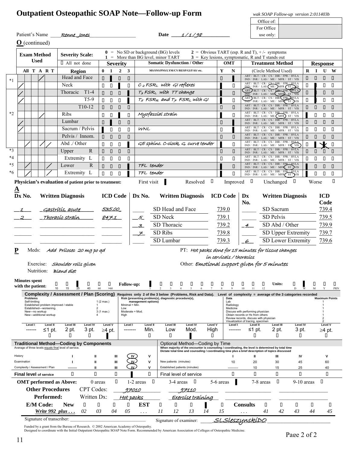#### **Outpatient Osteopathic SOAP Note—Follow-up Form** *wak SOAP Follow-up version 2:011403b* **Office of:** Office of:

|                               |                                              | For Office               |
|-------------------------------|----------------------------------------------|--------------------------|
| Patient's Name<br>Renne Iones | Date<br>198<br>$\rightarrow$ / $\rightarrow$ | use only: $\blacksquare$ |

|           |             |                           |                      | $Q$ (continued)                |                                                        |                                                                                                                                                               |                                        |                                     |                                        |                                         |                          |         |                                                                                        |                                                 |                                |                  |                       |                                                                                                                                                                                                                              |           |                                                                                 |                          |        |                                        |                       |           |
|-----------|-------------|---------------------------|----------------------|--------------------------------|--------------------------------------------------------|---------------------------------------------------------------------------------------------------------------------------------------------------------------|----------------------------------------|-------------------------------------|----------------------------------------|-----------------------------------------|--------------------------|---------|----------------------------------------------------------------------------------------|-------------------------------------------------|--------------------------------|------------------|-----------------------|------------------------------------------------------------------------------------------------------------------------------------------------------------------------------------------------------------------------------|-----------|---------------------------------------------------------------------------------|--------------------------|--------|----------------------------------------|-----------------------|-----------|
|           |             |                           | <b>Used</b>          | <b>Exam Method</b>             |                                                        | <b>Severity Scale:</b>                                                                                                                                        |                                        |                                     |                                        |                                         |                          |         | $\mathbf{0}$ = No SD or background (BG) levels<br>$1 =$ More than BG level, minor TART |                                                 |                                |                  |                       | 2 = Obvious TART (esp. R and T), $+/-$ symptoms<br>$3 =$ Key lesions, symptomatic, R and T stands out                                                                                                                        |           |                                                                                 |                          |        |                                        |                       |           |
|           |             |                           |                      |                                | I All not done                                         |                                                                                                                                                               |                                        | <b>Severity</b>                     |                                        |                                         |                          |         | <b>Somatic Dysfunction / Other</b>                                                     |                                                 |                                |                  | <b>OMT</b>            |                                                                                                                                                                                                                              |           | <b>Treatment Method</b>                                                         |                          |        | <b>Response</b>                        |                       |           |
|           |             |                           |                      | All T A R T                    |                                                        | Region                                                                                                                                                        |                                        | $0 \quad 1$                         | $2 \quad 3$                            |                                         |                          |         | MS/SNS/PNS/LYM/CV/RESP/GI/FAS/ etc.                                                    |                                                 |                                | Y                | N                     |                                                                                                                                                                                                                              |           | (Circle Method Used)<br>ART / BLT / CR / CS / DIR / FPR / HVLA                  |                          | $R$ I  |                                        | $U$ W                 |           |
| $*1$      |             |                           |                      |                                |                                                        | Head and Face                                                                                                                                                 | 0                                      |                                     | $\begin{array}{c} \square \end{array}$ | О                                       |                          |         |                                                                                        |                                                 |                                | О                |                       |                                                                                                                                                                                                                              |           | IND / INR / LAS / ME / MFR / ST / VIS<br>ART / BLT / CR / CS DIR / FPR / HVLA   |                          | П      | $\Box$                                 | $\Box$                | $\Box$    |
|           |             |                           |                      |                                | Neck                                                   |                                                                                                                                                               | $\Box$                                 | $\Box$                              |                                        | $\Box$                                  |                          |         | $c2 FSRL$ with GI reflexes                                                             |                                                 |                                |                  | П                     |                                                                                                                                                                                                                              |           | IND / INR / LAS (ME ) MFR (ST) IS                                               |                          | П      |                                        | П                     | О         |
|           |             |                           |                      |                                | Thoracic                                               | $T1-4$                                                                                                                                                        | $\begin{array}{c} \square \end{array}$ | $\Box$                              | $\Box$                                 |                                         |                          |         | T3 FSRL with TT change                                                                 |                                                 |                                |                  | О                     | ART BLT / CR / CS / DIR + FPR / HVLA                                                                                                                                                                                         |           | ART BLT / CR / CS / DIR FPR HVLA                                                |                          | О      |                                        | П                     | ▯         |
|           |             |                           |                      |                                |                                                        | $T5-9$                                                                                                                                                        | П                                      | $\Box$                              | $\Box$                                 |                                         |                          |         | $T_S$ FSR <sub>R</sub> and $T_Z$ FSRL with GI                                          |                                                 |                                |                  | П                     |                                                                                                                                                                                                                              |           | IND / INR / LAS / ME / MFR ST / VIS<br>ART / BLT / CR / CS / DIR / FPR / HVLA   |                          | $\Box$ |                                        | П                     | О         |
|           |             |                           |                      |                                |                                                        | $T10-12$                                                                                                                                                      | $\Box$                                 | $\Box$                              | $\Box$                                 | $\Box$                                  |                          |         |                                                                                        |                                                 |                                | П                | О                     |                                                                                                                                                                                                                              |           | IND / INR / LAS / ME / MFR / ST / VIS<br>ART / BLT / CR / CS / DIR / FPR / HVLA |                          | О      | $\Box$                                 | $\Box$                | $\Box$    |
| *2        |             |                           |                      |                                | Ribs                                                   |                                                                                                                                                               | $\Box$                                 | $\Box$                              |                                        | П                                       |                          |         | Myofascíal straín                                                                      |                                                 |                                |                  | П                     |                                                                                                                                                                                                                              |           | IND / INR / LAS / ME (MFR) ST / VIS<br>ART / BLT / CR / CS / DIR / FPR / HVLA   |                          |        | О                                      | О                     | О         |
|           |             |                           |                      |                                | Lumbar                                                 |                                                                                                                                                               | $\Box$                                 |                                     | $\Box$                                 | $\hfill\Box$                            |                          |         |                                                                                        |                                                 |                                | П                |                       |                                                                                                                                                                                                                              |           | IND / INR / LAS / ME / MFR / ST / VIS<br>ART / BLT / CR / CS / DIR / FPR / HVLA |                          | О      | $\Box$                                 | $\hfill \Box$         | $\Box$    |
|           |             |                           |                      |                                |                                                        | Sacrum / Pelvis                                                                                                                                               |                                        | $\Box$                              | $\Box$                                 | $\Box$                                  | WNL                      |         |                                                                                        |                                                 |                                | П                |                       |                                                                                                                                                                                                                              |           | IND / INR / LAS / ME / MFR / ST / VIS<br>ART / BLT / CR / CS / DIR / FPR / HVLA |                          | П      | $\begin{array}{c} \square \end{array}$ | $\Box$                | $\Box$    |
|           |             |                           |                      |                                |                                                        | Pelvis / Innom.                                                                                                                                               |                                        | $\begin{matrix} 0 & 0 \end{matrix}$ | $\Box$                                 | $\Box$                                  |                          |         |                                                                                        |                                                 |                                | $\Box$           | О                     |                                                                                                                                                                                                                              |           | IND / INR / LAS / ME / MFR / ST / VIS<br>ART / BLT / CR / CS / DIR / FPR / HVLA |                          | О      | О                                      | П                     | $\Box$    |
|           |             |                           |                      |                                | $\overline{Abd}$ . Other                               |                                                                                                                                                               | $\Box$                                 | $\Box$                              | $\Box$                                 |                                         |                          |         | GE sphínc. C-clock, G. curve tender                                                    |                                                 |                                |                  | П                     |                                                                                                                                                                                                                              |           | IND / INR / LAS / ME / MFR / ST / VIS<br>ART / BLT / CR / CS / DIR / FPR / HVLA |                          | О      |                                        |                       | П         |
| $*3$      |             |                           |                      |                                | Upper                                                  | $\mathbb{R}$                                                                                                                                                  | $\Box$                                 | $\Box$                              | $\Box$                                 | $\Box$                                  |                          |         |                                                                                        |                                                 |                                | П                | О                     |                                                                                                                                                                                                                              |           | IND / INR / LAS / ME / MFR / ST / VIS<br>ART / BLT / CR / CS / DIR / FPR / HVLA |                          | О      | $\Box$                                 | $\Box$                | $\Box$    |
| $*4$      |             |                           |                      |                                |                                                        | Extremity L                                                                                                                                                   | 0                                      | $\Box$                              | $\Box$                                 | $\begin{array}{ccc} \hline \end{array}$ |                          |         |                                                                                        |                                                 |                                | П                | П                     |                                                                                                                                                                                                                              |           | IND / INR / LAS / ME / MFR / ST / VIS<br>ART / BLT / CR / CS / DIR / FPR/HVLA   |                          | О      | О                                      | $\Box$                | $\Box$    |
| $*5$      |             |                           |                      |                                | Lower                                                  | R                                                                                                                                                             | $\Box$                                 | $\Box$                              | $\Box$                                 |                                         | TFL tender               |         |                                                                                        |                                                 |                                |                  | О                     |                                                                                                                                                                                                                              |           | $IND / INR / LAS / ME / MFR / ST)$ VIS                                          |                          |        | О                                      | $\Box$                | ▯         |
| *6        |             |                           |                      |                                |                                                        | Extremity L                                                                                                                                                   | $\Box$                                 | $\Box$                              | $\Box$                                 |                                         | TFL tender               |         |                                                                                        |                                                 |                                |                  | $\Box$                | $\frac{\text{ART} \mid \text{BLT} \mid \text{CR} \mid \text{CS} \mid \text{DIR} \mid \text{FPR} \mid \text{HVLA}}{\text{IND} \mid \text{INR} \mid \text{LAS} \mid \text{ME} \mid \text{MFR} \mid \text{ST} \mid \text{VIS}}$ |           |                                                                                 |                          |        | П                                      | $\Box$                | П         |
|           |             |                           |                      |                                |                                                        | Physician's evaluation of patient prior to treatment:                                                                                                         |                                        |                                     |                                        |                                         | First visit              |         |                                                                                        | Resolved                                        | О                              |                  |                       | Improved $\Box$                                                                                                                                                                                                              |           | Unchanged                                                                       | $\Box$                   |        | Worse                                  |                       | О         |
| <u>A</u>  |             |                           |                      |                                |                                                        |                                                                                                                                                               |                                        |                                     |                                        |                                         |                          |         |                                                                                        |                                                 |                                |                  |                       |                                                                                                                                                                                                                              |           |                                                                                 |                          |        |                                        |                       |           |
| Dx No.    |             |                           |                      |                                | <b>Written Diagnosis</b>                               |                                                                                                                                                               |                                        | <b>ICD Code</b>                     |                                        |                                         | Dx No.                   |         | <b>Written Diagnosis</b>                                                               |                                                 |                                | <b>ICD Code</b>  |                       | Dx                                                                                                                                                                                                                           |           |                                                                                 | <b>Written Diagnosis</b> |        |                                        | <b>ICD</b>            |           |
|           |             |                           |                      |                                |                                                        |                                                                                                                                                               |                                        |                                     |                                        |                                         |                          |         |                                                                                        |                                                 |                                |                  |                       | No.                                                                                                                                                                                                                          |           |                                                                                 |                          |        |                                        | Code                  |           |
|           |             |                           |                      |                                | <u>Gastrítís, acute</u>                                |                                                                                                                                                               |                                        | <u>535.00_</u>                      |                                        |                                         |                          |         | SD Head and Face                                                                       |                                                 |                                | 739.0            |                       |                                                                                                                                                                                                                              |           | SD Sacrum                                                                       |                          |        |                                        | 739.4                 |           |
|           |             | $\frac{2}{ }$             |                      |                                | <u> Thoracíc straín</u>                                |                                                                                                                                                               |                                        | 847.1                               |                                        |                                         | $-$ 5 $-$                |         | SD Neck                                                                                |                                                 |                                | 739.1            |                       |                                                                                                                                                                                                                              |           | SD Pelvis                                                                       |                          |        |                                        | 739.5                 |           |
|           |             |                           |                      |                                |                                                        |                                                                                                                                                               |                                        |                                     |                                        |                                         |                          |         | SD Thoracic                                                                            |                                                 |                                | 739.2<br>739.8   |                       | $\overline{4}$                                                                                                                                                                                                               |           | SD Abd / Other                                                                  |                          |        |                                        | 739.9                 |           |
|           |             |                           |                      |                                |                                                        |                                                                                                                                                               |                                        |                                     |                                        |                                         | $\overline{\mathcal{Z}}$ | SD Ribs |                                                                                        |                                                 |                                |                  |                       |                                                                                                                                                                                                                              |           |                                                                                 | SD Upper Extremity       |        |                                        | 739.7                 |           |
|           |             |                           |                      |                                |                                                        |                                                                                                                                                               |                                        |                                     |                                        |                                         |                          |         | SD Lumbar                                                                              |                                                 |                                | 739.3            |                       | $\epsilon$                                                                                                                                                                                                                   |           |                                                                                 | SD Lower Extremity       |        |                                        | <u>739.6</u>          |           |
| ${\bf P}$ |             |                           |                      |                                |                                                        | Meds: Add Prilosec 20 mg po qd                                                                                                                                |                                        |                                     |                                        |                                         |                          |         |                                                                                        |                                                 |                                |                  |                       | PT: Hot packs done for 15 minutes for tissue changes                                                                                                                                                                         |           |                                                                                 |                          |        |                                        |                       |           |
|           |             |                           |                      |                                |                                                        |                                                                                                                                                               |                                        |                                     |                                        |                                         |                          |         |                                                                                        |                                                 |                                |                  |                       | in cervicals / thoracics                                                                                                                                                                                                     |           |                                                                                 |                          |        |                                        |                       |           |
|           |             |                           |                      |                                | Exercise: Shoulder rolls given                         |                                                                                                                                                               |                                        |                                     |                                        |                                         |                          |         |                                                                                        |                                                 |                                |                  |                       | Other: Emotional support given for 5 minutes                                                                                                                                                                                 |           |                                                                                 |                          |        |                                        |                       |           |
|           |             |                           |                      | Nutrition:                     | Bland diet                                             |                                                                                                                                                               |                                        |                                     |                                        |                                         |                          |         |                                                                                        |                                                 |                                |                  |                       |                                                                                                                                                                                                                              |           |                                                                                 |                          |        |                                        |                       |           |
|           |             |                           | <b>Minutes spent</b> |                                |                                                        |                                                                                                                                                               |                                        |                                     |                                        |                                         |                          |         |                                                                                        |                                                 |                                |                  |                       |                                                                                                                                                                                                                              |           |                                                                                 |                          |        |                                        |                       |           |
|           |             |                           | with the patient:    |                                | П<br>o<br>15<br>10                                     | П<br>25<br>40                                                                                                                                                 | П<br>60                                | O.<br>>60                           |                                        | <b>Follow-up:</b>                       |                          |         | O<br>$\overline{3}$                                                                    | П<br>$\Box$<br>$\overline{4}$<br>$\overline{5}$ | П<br>П<br>6<br>$7\overline{ }$ | O<br>$\,$ 8 $\,$ | П<br>9                | 0<br>0<br>$11\,$<br>10                                                                                                                                                                                                       | O.<br>12  | Units:                                                                          | 0<br>$\mathbf{D}$        |        | U.<br>M                                | П<br>$\mathbf Y$      | U.<br>PRN |
|           |             |                           |                      |                                |                                                        | Complexity / Assessment / Plan (Scoring) Requires only 2 of the 3 below (Problems, Risk and Data). Level of complexity = average of the 3 categories recorded |                                        |                                     |                                        |                                         |                          |         |                                                                                        |                                                 |                                |                  |                       |                                                                                                                                                                                                                              |           |                                                                                 |                          |        |                                        |                       |           |
|           |             | Problems<br>Self-limiting |                      |                                |                                                        |                                                                                                                                                               | 1(2 max.)                              |                                     |                                        |                                         | management options)      |         | Risk (presenting problem(s), diagnostic procedure(s),                                  |                                                 |                                |                  | Data<br>Lab           |                                                                                                                                                                                                                              |           |                                                                                 |                          |        |                                        | <b>Maximum Points</b> |           |
|           |             |                           |                      | Established-worsening.         | Established problem improved / stable                  | $\overline{2}$                                                                                                                                                |                                        |                                     | Low                                    | Minimal = Min.                          |                          |         |                                                                                        |                                                 |                                |                  | Radiology<br>Medicine |                                                                                                                                                                                                                              |           |                                                                                 |                          |        |                                        |                       |           |
|           |             |                           | New-no workup        | New-additional workup          |                                                        |                                                                                                                                                               | $3(1 \text{ max.})$                    |                                     | High                                   | Moderate = Mod.                         |                          |         |                                                                                        |                                                 |                                |                  |                       | Discuss with performing physician<br>Obtain records or Hx from others<br>Review records, discuss with physician                                                                                                              |           |                                                                                 |                          |        |                                        | $\overline{2}$        |           |
|           |             | Level I                   |                      | Level II                       | <b>Level III</b>                                       | <b>Level IV</b>                                                                                                                                               |                                        | Level V                             |                                        | Level I                                 | Level II                 |         | Level III                                                                              | <b>Level IV</b>                                 | <b>Level V</b>                 |                  | Level I               | Visualization of tracing, specimen<br>Level II                                                                                                                                                                               |           | Level III                                                                       | <b>Level IV</b>          |        |                                        | Level V               |           |
|           |             | ------                    |                      | ≤1 pt.                         | 2 pt.                                                  | 3 pt.                                                                                                                                                         |                                        | ≥4 pt.                              |                                        |                                         | Min.                     |         | Low                                                                                    | Mod.                                            | High                           |                  | --------              | $≤1$ pt.                                                                                                                                                                                                                     |           | 2 pt.                                                                           | 3 pt.                    |        |                                        | $\geq$ 4 pt.          |           |
|           |             |                           |                      | П.                             | Π                                                      | $\Box$                                                                                                                                                        |                                        |                                     |                                        |                                         |                          | П       | П                                                                                      |                                                 | П                              |                  |                       | П.                                                                                                                                                                                                                           |           | П                                                                               | $\Box$                   |        |                                        | П                     |           |
|           |             |                           |                      |                                | Average of three levels equals final level of service. | <b>Traditional Method-Coding by Components</b>                                                                                                                |                                        |                                     |                                        |                                         |                          |         | Optional Method—Coding by Time                                                         |                                                 |                                |                  |                       | When majority of the encounter is counseling / coordinating, the level is determined by total time                                                                                                                           |           |                                                                                 |                          |        |                                        |                       |           |
|           |             |                           |                      |                                |                                                        |                                                                                                                                                               |                                        |                                     |                                        |                                         |                          |         |                                                                                        |                                                 |                                |                  |                       | Dictate total time and counseling / coordinating time plus a brief description of topics discussed                                                                                                                           |           |                                                                                 |                          |        |                                        |                       |           |
| History   | Examination |                           |                      |                                | п                                                      | Ш<br>$\mathbf{u}$                                                                                                                                             |                                        |                                     | Ш<br>Ш                                 |                                         |                          | v<br>v  | New patients (minutes)                                                                 |                                                 |                                |                  | 10                    | Ш<br>20                                                                                                                                                                                                                      |           | Ш<br>30                                                                         | IV<br>45                 |        |                                        | v<br>60               |           |
|           |             |                           |                      | Complexity / Assessment / Plan |                                                        | ш                                                                                                                                                             |                                        |                                     | Ш                                      |                                         |                          | v       | Established patients (minutes)                                                         |                                                 |                                |                  |                       | 10                                                                                                                                                                                                                           |           | 15                                                                              | 25                       |        |                                        | 40                    |           |
|           |             |                           |                      | <b>Final level of service</b>  | п                                                      | $\Box$                                                                                                                                                        |                                        |                                     | $\Box$                                 |                                         | $\Box$                   |         | Final level of service                                                                 |                                                 |                                |                  | П                     | П                                                                                                                                                                                                                            |           | П                                                                               | $\Box$                   |        |                                        | П                     |           |
|           |             |                           |                      |                                | <b>OMT</b> performed as Above:                         |                                                                                                                                                               | 0 areas                                |                                     | П                                      |                                         | 1-2 areas                | O       | 3-4 areas                                                                              | ┚                                               |                                | 5-6 areas        |                       |                                                                                                                                                                                                                              | 7-8 areas | П                                                                               | $9-10$ areas             |        | П                                      |                       |           |
|           |             |                           |                      | <b>Other Procedures</b>        |                                                        | <b>CPT</b> Codes:                                                                                                                                             |                                        |                                     |                                        | 97010                                   |                          |         |                                                                                        | 97110                                           |                                |                  |                       |                                                                                                                                                                                                                              |           |                                                                                 |                          |        |                                        |                       |           |
|           |             |                           |                      | Performed:                     |                                                        | Written Dx:                                                                                                                                                   |                                        |                                     |                                        | Hot packs                               |                          |         |                                                                                        | <u>Exercíse traíníng</u>                        |                                |                  |                       |                                                                                                                                                                                                                              |           |                                                                                 |                          |        |                                        |                       |           |
|           |             |                           |                      | <b>E/M Code:</b>               | <b>New</b>                                             | $\Box$                                                                                                                                                        | О                                      | П                                   |                                        | П                                       | <b>EST</b>               |         | П<br>П                                                                                 | O                                               |                                | П                |                       | <b>Consults</b>                                                                                                                                                                                                              | П         | П                                                                               | П                        | П      |                                        | П                     |           |
|           |             |                           |                      |                                | Write $992$ plus                                       | 02                                                                                                                                                            | 03                                     | 04                                  |                                        | 05                                      | $\sim$ $\sim$ $\sim$     |         | 11<br>12                                                                               | 13                                              | 14                             | 15               |                       | $\sim$ $\sim$ $\sim$                                                                                                                                                                                                         | 41        | 42                                                                              | 43                       | 44     |                                        | 45                    |           |
|           |             |                           |                      | Cignoture of transarihor       |                                                        |                                                                                                                                                               |                                        |                                     |                                        |                                         |                          |         |                                                                                        |                                                 |                                |                  |                       | $\lambda$                                                                                                                                                                                                                    |           |                                                                                 |                          |        |                                        |                       |           |

Signature of transcriber: \_\_\_\_\_\_\_\_\_\_\_\_\_\_\_\_\_\_\_\_\_\_\_\_\_\_\_\_\_\_\_\_\_ Signature of examiner: \_\_\_\_ SLSleszynskiDO \_\_\_\_\_\_\_\_\_\_\_\_\_\_\_\_\_\_\_\_\_\_ Funded by a grant from the Bureau of Research. © 2002 American Academy of Osteopathy. Designed to coordinate with the Initial Outpatient Osteopathic SOAP Note Form. Recommended by American Association of Colleges of Osteopathic Medicine.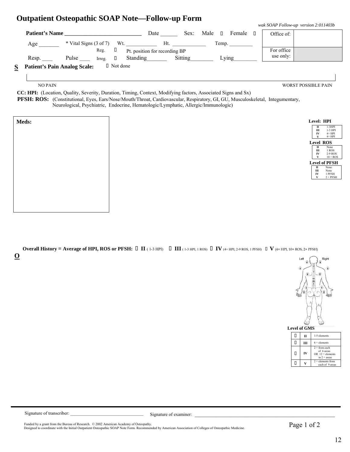### **Outpatient Osteopathic SOAP Note—Follow-up Form**

|                                          |                                   |        |                 |                               |         |      |        |        |            | wak SOAP Follow-up version 2:011403b |
|------------------------------------------|-----------------------------------|--------|-----------------|-------------------------------|---------|------|--------|--------|------------|--------------------------------------|
| <b>Patient's Name</b>                    |                                   |        |                 | Date                          | Sex:    | Male | $\Box$ | Female | Office of: |                                      |
| Age                                      | * Vital Signs $(3 \text{ of } 7)$ |        | Wt.             | Ht.                           |         |      | Temp.  |        |            |                                      |
|                                          |                                   | Reg.   |                 | Pt. position for recording BP |         |      |        |        | For office |                                      |
| Resp.                                    | Pulse                             | Irreg. |                 | Standing                      | Sitting |      |        | Lying  | use only:  |                                      |
| <b>Patient's Pain Analog Scale:</b><br>R |                                   |        | $\Box$ Not done |                               |         |      |        |        |            |                                      |

NO PAIN WORST POSSIBLE PAIN

 **CC: HPI:** (Location, Quality, Severity, Duration, Timing, Context, Modifying factors, Associated Signs and Sx)  **PFSH: ROS:** (Constitutional, Eyes, Ears/Nose/Mouth/Throat, Cardiovascular, Respiratory, GI, GU, Musculoskeletal, Integumentary, Neurological, Psychiatric, Endocrine, Hematologic/Lymphatic, Allergic/Immunologic)

| п  | $1-3HPI$              |
|----|-----------------------|
|    | 1-3 HPI               |
|    | $4+HPI$               |
|    | $4+HPI$               |
|    | Level ROS             |
| п  | None                  |
| Ш  | 1 ROS                 |
| IV | 2-9 ROS               |
|    | $10 + ROS$            |
|    | <b>Level of PFSH</b>  |
| п  | None                  |
| Ш  | None                  |
| IV | 1 PFSH                |
| V  | $2 + PFSH$            |
|    | Level: HPI<br>Ш<br>IV |

**Overall History** = Average of HPI, ROS or PFSH:  $\Box$  **II** (1-3 HPI)  $\Box$  **III** (1-3 HPI, 1 ROS)  $\Box$  **IV** (4+ HPI, 2-9 ROS, 1 PFSH)  $\Box$  **V** (4+ HPI, 10+ ROS, 2+ PFSH)





|   | <b>Level of GMS</b> |                                                                         |
|---|---------------------|-------------------------------------------------------------------------|
| Н | π                   | 1-5 elements                                                            |
|   |                     | $6 +$ elements                                                          |
| П | IV                  | $2 + from each$<br>of 6 areas<br>OR $12 +$ elements<br>in $2 + \arccos$ |
|   |                     | $2 +$ elements from<br>each of 9 areas                                  |

Signature of transcriber: \_\_\_\_\_\_\_\_\_\_\_\_\_\_\_\_\_\_\_\_\_\_\_\_\_\_\_\_\_\_\_\_ Signature of examiner: \_\_\_\_\_\_\_\_\_\_\_\_\_\_\_\_\_\_\_\_\_\_\_\_\_\_\_\_\_\_\_\_\_\_\_\_\_\_\_\_\_\_\_\_\_\_\_\_\_

Funded by a grant from the Bureau of Research. © 2002 American Academy of Osteopathy.<br>Designed to coordinate with the Initial Outpatient Osteopathic SOAP Note Form. Recommended by American Association of Colleges of Osteo